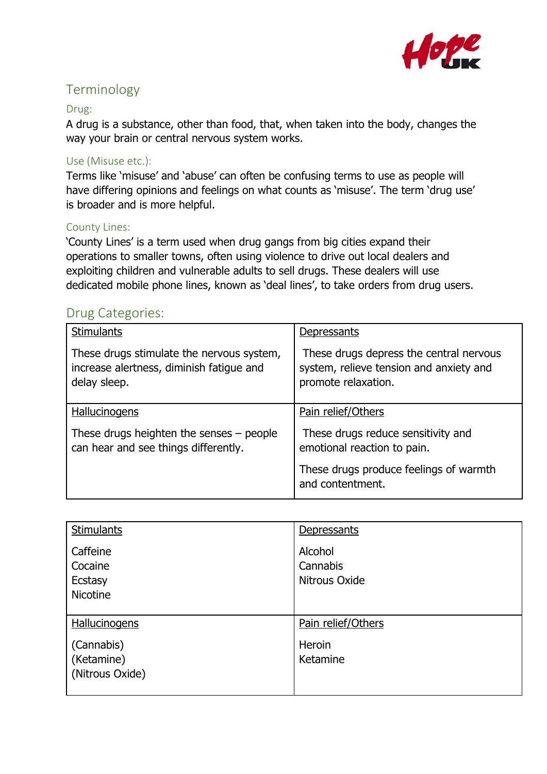

# Terminology

### Drug:

A drug is a substance, other than food, that, when taken into the body, changes the way your brain or central nervous system works.

## Use (Misuse etc.):

Terms like 'misuse' and 'abuse' can often be confusing terms to use as people will have differing opinions and feelings on what counts as 'misuse'. The term 'drug use' is broader and is more helpful.

### County Lines:

'County Lines' is a term used when drug gangs from big cities expand their operations to smaller towns, often using violence to drive out local dealers and exploiting children and vulnerable adults to sell drugs. These dealers will use dedicated mobile phone lines, known as 'deal lines', to take orders from drug users.

## Drug Categories:

| <b>Stimulants</b>                                                                                     | <b>Depressants</b>                                                                                        |
|-------------------------------------------------------------------------------------------------------|-----------------------------------------------------------------------------------------------------------|
| These drugs stimulate the nervous system,<br>increase alertness, diminish fatigue and<br>delay sleep. | These drugs depress the central nervous<br>system, relieve tension and anxiety and<br>promote relaxation. |
| <b>Hallucinogens</b>                                                                                  | Pain relief/Others                                                                                        |
| These drugs heighten the senses $-$ people<br>can hear and see things differently.                    | These drugs reduce sensitivity and<br>emotional reaction to pain.                                         |
|                                                                                                       | These drugs produce feelings of warmth<br>and contentment.                                                |

| <b>Stimulants</b>                                 | Depressants                          |
|---------------------------------------------------|--------------------------------------|
| Caffeine<br>Cocaine<br>Ecstasy<br><b>Nicotine</b> | Alcohol<br>Cannabis<br>Nitrous Oxide |
| <b>Hallucinogens</b>                              | Pain relief/Others                   |
| (Cannabis)<br>(Ketamine)<br>(Nitrous Oxide)       | Heroin<br>Ketamine                   |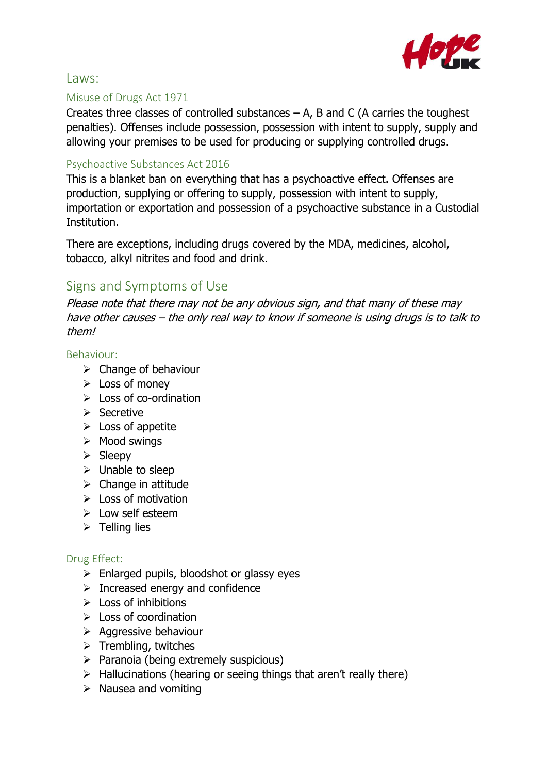

## Laws:

## Misuse of Drugs Act 1971

Creates three classes of controlled substances  $- A$ , B and C (A carries the toughest penalties). Offenses include possession, possession with intent to supply, supply and allowing your premises to be used for producing or supplying controlled drugs.

## Psychoactive Substances Act 2016

This is a blanket ban on everything that has a psychoactive effect. Offenses are production, supplying or offering to supply, possession with intent to supply, importation or exportation and possession of a psychoactive substance in a Custodial Institution.

There are exceptions, including drugs covered by the MDA, medicines, alcohol, tobacco, alkyl nitrites and food and drink.

## Signs and Symptoms of Use

Please note that there may not be any obvious sign, and that many of these may have other causes – the only real way to know if someone is using drugs is to talk to them!

## Behaviour:

- $\triangleright$  Change of behaviour
- $\triangleright$  Loss of money
- $\triangleright$  Loss of co-ordination
- $\triangleright$  Secretive
- $\triangleright$  Loss of appetite
- $\triangleright$  Mood swings
- $\triangleright$  Sleepy
- $\triangleright$  Unable to sleep
- $\triangleright$  Change in attitude
- $\triangleright$  Loss of motivation
- $\triangleright$  Low self esteem
- $\triangleright$  Telling lies

## Drug Effect:

- $\triangleright$  Enlarged pupils, bloodshot or glassy eyes
- $\triangleright$  Increased energy and confidence
- $\triangleright$  Loss of inhibitions
- $\triangleright$  Loss of coordination
- $\triangleright$  Aggressive behaviour
- $\triangleright$  Trembling, twitches
- $\triangleright$  Paranoia (being extremely suspicious)
- $\triangleright$  Hallucinations (hearing or seeing things that aren't really there)
- $\triangleright$  Nausea and vomiting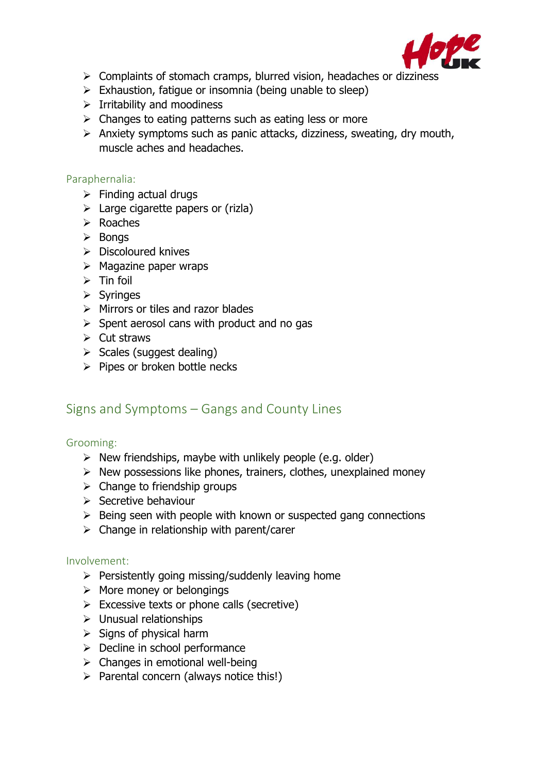

- $\triangleright$  Complaints of stomach cramps, blurred vision, headaches or dizziness
- $\triangleright$  Exhaustion, fatique or insomnia (being unable to sleep)
- $\triangleright$  Irritability and moodiness
- $\triangleright$  Changes to eating patterns such as eating less or more
- $\triangleright$  Anxiety symptoms such as panic attacks, dizziness, sweating, dry mouth, muscle aches and headaches.

#### Paraphernalia:

- $\triangleright$  Finding actual drugs
- $\triangleright$  Large cigarette papers or (rizla)
- $\triangleright$  Roaches
- $\triangleright$  Bongs
- $\triangleright$  Discoloured knives
- $\triangleright$  Magazine paper wraps
- $\triangleright$  Tin foil
- $\triangleright$  Syringes
- $\triangleright$  Mirrors or tiles and razor blades
- $\triangleright$  Spent aerosol cans with product and no gas
- $\triangleright$  Cut straws
- $\triangleright$  Scales (suggest dealing)
- $\triangleright$  Pipes or broken bottle necks

## Signs and Symptoms – Gangs and County Lines

### Grooming:

- $\triangleright$  New friendships, maybe with unlikely people (e.g. older)
- $\triangleright$  New possessions like phones, trainers, clothes, unexplained money
- $\triangleright$  Change to friendship groups
- $\triangleright$  Secretive behaviour
- $\triangleright$  Being seen with people with known or suspected gang connections
- $\triangleright$  Change in relationship with parent/carer

#### Involvement:

- $\triangleright$  Persistently going missing/suddenly leaving home
- $\triangleright$  More money or belongings
- $\triangleright$  Excessive texts or phone calls (secretive)
- $\triangleright$  Unusual relationships
- $\triangleright$  Signs of physical harm
- $\triangleright$  Decline in school performance
- $\triangleright$  Changes in emotional well-being
- $\triangleright$  Parental concern (always notice this!)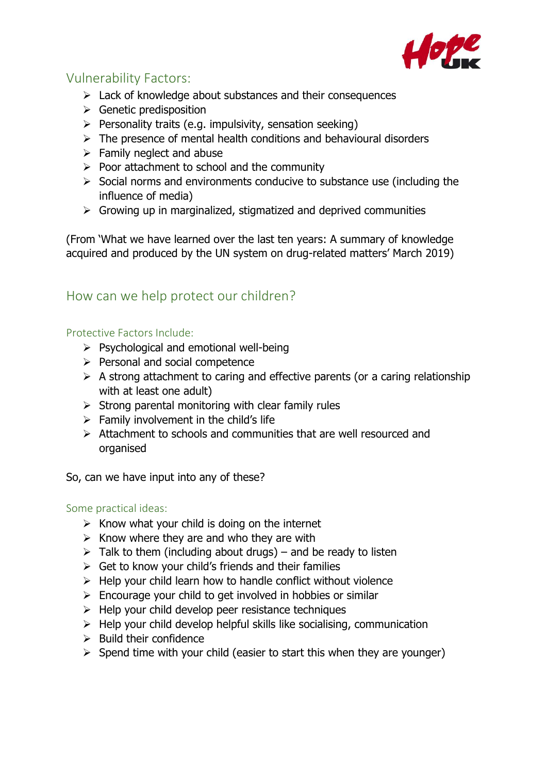

## Vulnerability Factors:

- $\triangleright$  Lack of knowledge about substances and their consequences
- $\triangleright$  Genetic predisposition
- $\triangleright$  Personality traits (e.g. impulsivity, sensation seeking)
- $\triangleright$  The presence of mental health conditions and behavioural disorders
- $\triangleright$  Family neglect and abuse
- $\triangleright$  Poor attachment to school and the community
- $\triangleright$  Social norms and environments conducive to substance use (including the influence of media)
- $\triangleright$  Growing up in marginalized, stigmatized and deprived communities

(From 'What we have learned over the last ten years: A summary of knowledge acquired and produced by the UN system on drug-related matters' March 2019)

## How can we help protect our children?

## Protective Factors Include:

- $\triangleright$  Psychological and emotional well-being
- $\triangleright$  Personal and social competence
- $\triangleright$  A strong attachment to caring and effective parents (or a caring relationship with at least one adult)
- $\triangleright$  Strong parental monitoring with clear family rules
- $\triangleright$  Family involvement in the child's life
- $\triangleright$  Attachment to schools and communities that are well resourced and organised

So, can we have input into any of these?

#### Some practical ideas:

- $\triangleright$  Know what your child is doing on the internet
- $\triangleright$  Know where they are and who they are with
- $\triangleright$  Talk to them (including about drugs) and be ready to listen
- $\triangleright$  Get to know your child's friends and their families
- $\triangleright$  Help your child learn how to handle conflict without violence
- $\triangleright$  Encourage your child to get involved in hobbies or similar
- $\triangleright$  Help your child develop peer resistance techniques
- $\triangleright$  Help your child develop helpful skills like socialising, communication
- $\triangleright$  Build their confidence
- $\triangleright$  Spend time with your child (easier to start this when they are younger)